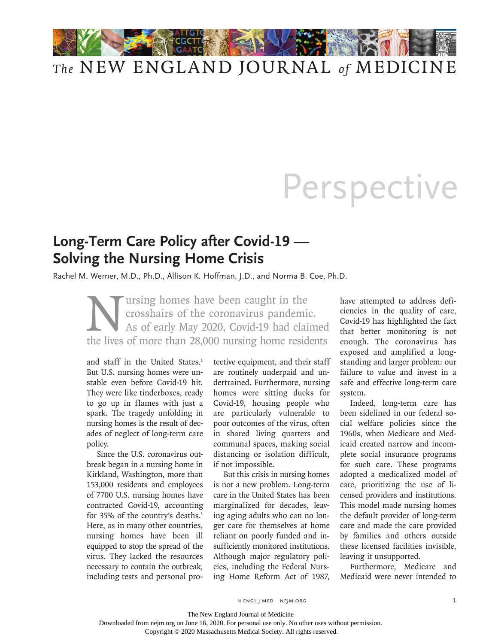

## Perspective

## **Long-Term Care Policy after Covid-19 — Solving the Nursing Home Crisis**

Rachel M. Werner, M.D., Ph.D., Allison K. Hoffman, J.D., and Norma B. Coe, Ph.D.

Ultrains have been caught in the<br>crosshairs of the coronavirus pandemic<br>As of early May 2020, Covid-19 had claim<br>the lives of more than 28,000 nursing home reside crosshairs of the coronavirus pandemic. As of early May 2020, Covid-19 had claimed the lives of more than 28,000 nursing home residents

and staff in the United States.<sup>1</sup> But U.S. nursing homes were unstable even before Covid-19 hit. They were like tinderboxes, ready to go up in flames with just a spark. The tragedy unfolding in nursing homes is the result of decades of neglect of long-term care policy.

Since the U.S. coronavirus outbreak began in a nursing home in Kirkland, Washington, more than 153,000 residents and employees of 7700 U.S. nursing homes have contracted Covid-19, accounting for 35% of the country's deaths.<sup>1</sup> Here, as in many other countries, nursing homes have been ill equipped to stop the spread of the virus. They lacked the resources necessary to contain the outbreak, including tests and personal protective equipment, and their staff are routinely underpaid and undertrained. Furthermore, nursing homes were sitting ducks for Covid-19, housing people who are particularly vulnerable to poor outcomes of the virus, often in shared living quarters and communal spaces, making social distancing or isolation difficult, if not impossible.

But this crisis in nursing homes is not a new problem. Long-term care in the United States has been marginalized for decades, leaving aging adults who can no longer care for themselves at home reliant on poorly funded and insufficiently monitored institutions. Although major regulatory policies, including the Federal Nursing Home Reform Act of 1987, have attempted to address deficiencies in the quality of care, Covid-19 has highlighted the fact that better monitoring is not enough. The coronavirus has exposed and amplified a longstanding and larger problem: our failure to value and invest in a safe and effective long-term care system.

Indeed, long-term care has been sidelined in our federal social welfare policies since the 1960s, when Medicare and Medicaid created narrow and incomplete social insurance programs for such care. These programs adopted a medicalized model of care, prioritizing the use of licensed providers and institutions. This model made nursing homes the default provider of long-term care and made the care provided by families and others outside these licensed facilities invisible, leaving it unsupported.

Furthermore, Medicare and Medicaid were never intended to

n engl j med nejm.org 1

The New England Journal of Medicine

Copyright © 2020 Massachusetts Medical Society. All rights reserved.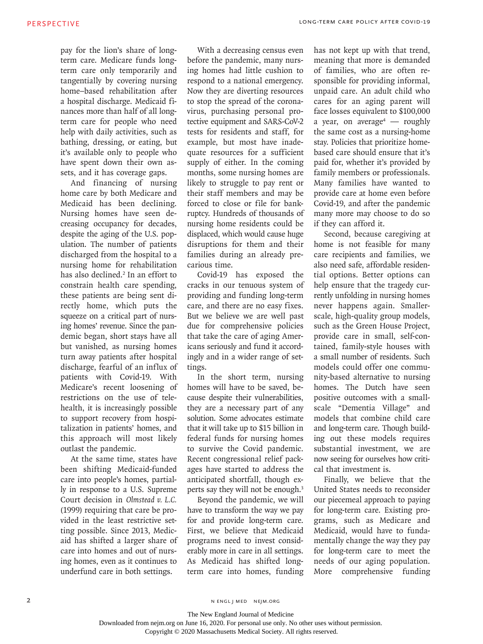pay for the lion's share of longterm care. Medicare funds longterm care only temporarily and tangentially by covering nursing home–based rehabilitation after a hospital discharge. Medicaid finances more than half of all longterm care for people who need help with daily activities, such as bathing, dressing, or eating, but it's available only to people who have spent down their own assets, and it has coverage gaps.

And financing of nursing home care by both Medicare and Medicaid has been declining. Nursing homes have seen decreasing occupancy for decades, despite the aging of the U.S. population. The number of patients discharged from the hospital to a nursing home for rehabilitation has also declined.<sup>2</sup> In an effort to constrain health care spending, these patients are being sent directly home, which puts the squeeze on a critical part of nursing homes' revenue. Since the pandemic began, short stays have all but vanished, as nursing homes turn away patients after hospital discharge, fearful of an influx of patients with Covid-19. With Medicare's recent loosening of restrictions on the use of telehealth, it is increasingly possible to support recovery from hospitalization in patients' homes, and this approach will most likely outlast the pandemic.

At the same time, states have been shifting Medicaid-funded care into people's homes, partially in response to a U.S. Supreme Court decision in *Olmstead v. L.C.* (1999) requiring that care be provided in the least restrictive setting possible. Since 2013, Medicaid has shifted a larger share of care into homes and out of nursing homes, even as it continues to underfund care in both settings.

With a decreasing census even before the pandemic, many nursing homes had little cushion to respond to a national emergency. Now they are diverting resources to stop the spread of the coronavirus, purchasing personal protective equipment and SARS-CoV-2 tests for residents and staff, for example, but most have inadequate resources for a sufficient supply of either. In the coming months, some nursing homes are likely to struggle to pay rent or their staff members and may be forced to close or file for bankruptcy. Hundreds of thousands of nursing home residents could be displaced, which would cause huge disruptions for them and their families during an already precarious time.

Covid-19 has exposed the cracks in our tenuous system of providing and funding long-term care, and there are no easy fixes. But we believe we are well past due for comprehensive policies that take the care of aging Americans seriously and fund it accordingly and in a wider range of settings.

In the short term, nursing homes will have to be saved, because despite their vulnerabilities, they are a necessary part of any solution. Some advocates estimate that it will take up to \$15 billion in federal funds for nursing homes to survive the Covid pandemic. Recent congressional relief packages have started to address the anticipated shortfall, though experts say they will not be enough.3

Beyond the pandemic, we will have to transform the way we pay for and provide long-term care. First, we believe that Medicaid programs need to invest considerably more in care in all settings. As Medicaid has shifted longterm care into homes, funding has not kept up with that trend, meaning that more is demanded of families, who are often responsible for providing informal, unpaid care. An adult child who cares for an aging parent will face losses equivalent to \$100,000 a year, on average4 — roughly the same cost as a nursing-home stay. Policies that prioritize homebased care should ensure that it's paid for, whether it's provided by family members or professionals. Many families have wanted to provide care at home even before Covid-19, and after the pandemic many more may choose to do so if they can afford it.

Second, because caregiving at home is not feasible for many care recipients and families, we also need safe, affordable residential options. Better options can help ensure that the tragedy currently unfolding in nursing homes never happens again. Smallerscale, high-quality group models, such as the Green House Project, provide care in small, self-contained, family-style houses with a small number of residents. Such models could offer one community-based alternative to nursing homes. The Dutch have seen positive outcomes with a smallscale "Dementia Village" and models that combine child care and long-term care. Though building out these models requires substantial investment, we are now seeing for ourselves how critical that investment is.

Finally, we believe that the United States needs to reconsider our piecemeal approach to paying for long-term care. Existing programs, such as Medicare and Medicaid, would have to fundamentally change the way they pay for long-term care to meet the needs of our aging population. More comprehensive funding

The New England Journal of Medicine

Copyright © 2020 Massachusetts Medical Society. All rights reserved.